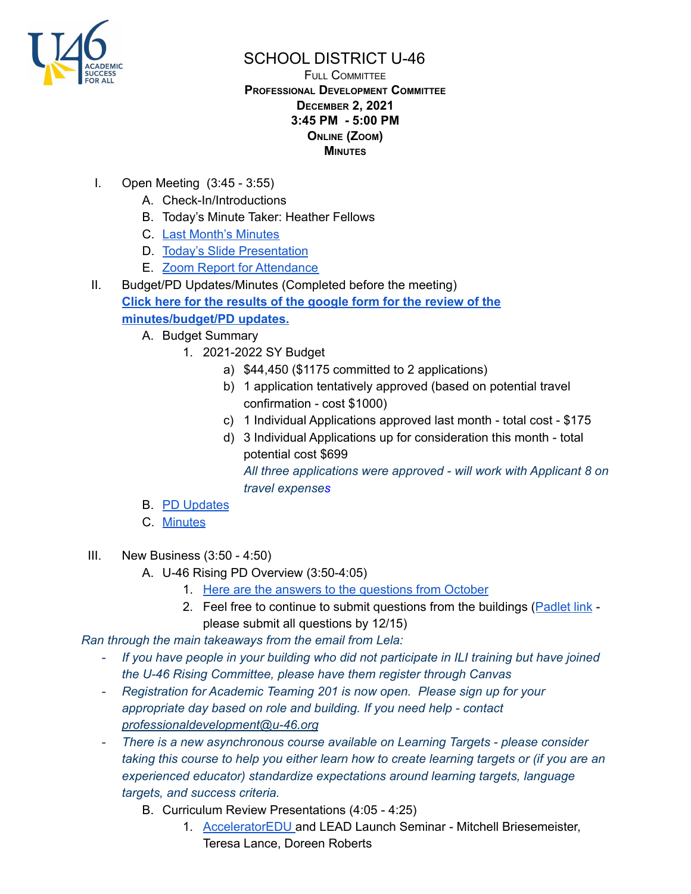

# SCHOOL DISTRICT U-46

FULL COMMITTEE **PROFESSIONAL DEVELOPMENT COMMITTEE DECEMBER 2, 2021 3:45 PM - 5:00 PM ONLINE (ZOOM) MINUTES**

- I. Open Meeting (3:45 3:55)
	- A. Check-In/Introductions
	- B. Today's Minute Taker: Heather Fellows
	- C. Last Month's [Minutes](https://www.u-46.org/site/handlers/filedownload.ashx?moduleinstanceid=40057&dataid=65998&FileName=11-4-21%20Minutes%20PD%20FC.pdf)
	- D. Today's Slide [Presentation](https://docs.google.com/presentation/d/1RZAroze9o0RHrGodIf01q8wx3xFvZGHyDsDGvmqnGsQ/edit?usp=sharing)
	- E. Zoom Report for [Attendance](https://docs.google.com/spreadsheets/d/1AbWFPqirrRGmphlHDwar9ZBjSg50oYPo/edit?usp=sharing&ouid=114155932067581146592&rtpof=true&sd=true)
- II. Budget/PD Updates/Minutes (Completed before the meeting) **Click here for the [results](https://docs.google.com/forms/d/17hdiomB7gJUFghYFjL629AI6ft-zwI9Idc35zrWfzdw/viewanalytics) of the google form for the review of the [minutes/budget/PD](https://docs.google.com/forms/d/17hdiomB7gJUFghYFjL629AI6ft-zwI9Idc35zrWfzdw/viewanalytics) updates.**
	- A. Budget Summary
		- 1. 2021-2022 SY Budget
			- a) \$44,450 (\$1175 committed to 2 applications)
			- b) 1 application tentatively approved (based on potential travel confirmation - cost \$1000)
			- c) 1 Individual Applications approved last month total cost \$175
			- d) 3 Individual Applications up for consideration this month total potential cost \$699 *All three applications were approved - will work with Applicant 8 on travel expenses*
	- B. PD [Updates](https://docs.google.com/document/d/14xVEZv_Y_MeLuhzQ9D3Xb3Ak3PbEMzBgyn-fiuqzDz0/edit?usp=sharing)
	- C. [Minutes](https://www.u-46.org/site/handlers/filedownload.ashx?moduleinstanceid=40057&dataid=65998&FileName=11-4-21%20Minutes%20PD%20FC.pdf)
- III. New Business (3:50 4:50)
	- A. U-46 Rising PD Overview (3:50-4:05)
		- 1. Here are the answers to the [questions](https://docs.google.com/document/d/1NZqrzkfDVVVgqtwEZK6xwjTWHiFfiYZtL3cUvEEEWdw/edit?usp=sharing) from October
		- 2. Feel free to continue to submit questions from the buildings ([Padlet](https://padlet.com/heatherfellows/fwwm6oe7c9drvq7m) link please submit all questions by 12/15)

*Ran through the main takeaways from the email from Lela:*

- *- If you have people in your building who did not participate in ILI training but have joined the U-46 Rising Committee, please have them register through Canvas*
- *- Registration for Academic Teaming 201 is now open. Please sign up for your appropriate day based on role and building. If you need help - contact [professionaldevelopment@u-46.org](mailto:professionaldevelopment@u-46.org)*
- *- There is a new asynchronous course available on Learning Targets - please consider taking this course to help you either learn how to create learning targets or (if you are an experienced educator) standardize expectations around learning targets, language targets, and success criteria.*
	- B. Curriculum Review Presentations (4:05 4:25)
		- 1. [AcceleratorEDU](https://docs.google.com/presentation/d/1HbMpPht63BzE5mqRu99awOsL_i22Y70lq17y3hKa0m8/edit?usp=sharing) and LEAD Launch Seminar Mitchell Briesemeister, Teresa Lance, Doreen Roberts